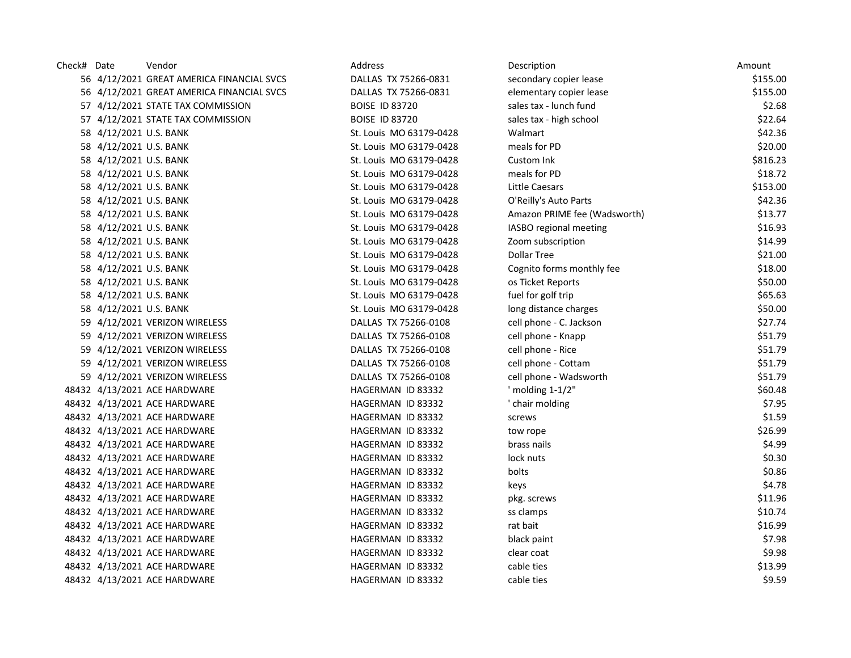| Check# Date |                        | Vendor                                    | Address                 | Description                  | Amount   |
|-------------|------------------------|-------------------------------------------|-------------------------|------------------------------|----------|
|             |                        | 56 4/12/2021 GREAT AMERICA FINANCIAL SVCS | DALLAS TX 75266-0831    | secondary copier lease       | \$155.00 |
|             |                        | 56 4/12/2021 GREAT AMERICA FINANCIAL SVCS | DALLAS TX 75266-0831    | elementary copier lease      | \$155.00 |
|             |                        | 57 4/12/2021 STATE TAX COMMISSION         | <b>BOISE ID 83720</b>   | sales tax - lunch fund       | \$2.68   |
|             |                        | 57 4/12/2021 STATE TAX COMMISSION         | <b>BOISE ID 83720</b>   | sales tax - high school      | \$22.64  |
|             | 58 4/12/2021 U.S. BANK |                                           | St. Louis MO 63179-0428 | Walmart                      | \$42.36  |
|             | 58 4/12/2021 U.S. BANK |                                           | St. Louis MO 63179-0428 | meals for PD                 | \$20.00  |
|             | 58 4/12/2021 U.S. BANK |                                           | St. Louis MO 63179-0428 | Custom Ink                   | \$816.23 |
|             | 58 4/12/2021 U.S. BANK |                                           | St. Louis MO 63179-0428 | meals for PD                 | \$18.72  |
|             | 58 4/12/2021 U.S. BANK |                                           | St. Louis MO 63179-0428 | Little Caesars               | \$153.00 |
|             | 58 4/12/2021 U.S. BANK |                                           | St. Louis MO 63179-0428 | O'Reilly's Auto Parts        | \$42.36  |
|             | 58 4/12/2021 U.S. BANK |                                           | St. Louis MO 63179-0428 | Amazon PRIME fee (Wadsworth) | \$13.77  |
|             | 58 4/12/2021 U.S. BANK |                                           | St. Louis MO 63179-0428 | IASBO regional meeting       | \$16.93  |
|             | 58 4/12/2021 U.S. BANK |                                           | St. Louis MO 63179-0428 | Zoom subscription            | \$14.99  |
|             | 58 4/12/2021 U.S. BANK |                                           | St. Louis MO 63179-0428 | Dollar Tree                  | \$21.00  |
|             | 58 4/12/2021 U.S. BANK |                                           | St. Louis MO 63179-0428 | Cognito forms monthly fee    | \$18.00  |
|             | 58 4/12/2021 U.S. BANK |                                           | St. Louis MO 63179-0428 | os Ticket Reports            | \$50.00  |
|             | 58 4/12/2021 U.S. BANK |                                           | St. Louis MO 63179-0428 | fuel for golf trip           | \$65.63  |
|             | 58 4/12/2021 U.S. BANK |                                           | St. Louis MO 63179-0428 | long distance charges        | \$50.00  |
|             |                        | 59 4/12/2021 VERIZON WIRELESS             | DALLAS TX 75266-0108    | cell phone - C. Jackson      | \$27.74  |
|             |                        | 59 4/12/2021 VERIZON WIRELESS             | DALLAS TX 75266-0108    | cell phone - Knapp           | \$51.79  |
|             |                        | 59 4/12/2021 VERIZON WIRELESS             | DALLAS TX 75266-0108    | cell phone - Rice            | \$51.79  |
|             |                        | 59 4/12/2021 VERIZON WIRELESS             | DALLAS TX 75266-0108    | cell phone - Cottam          | \$51.79  |
|             |                        | 59 4/12/2021 VERIZON WIRELESS             | DALLAS TX 75266-0108    | cell phone - Wadsworth       | \$51.79  |
|             |                        | 48432 4/13/2021 ACE HARDWARE              | HAGERMAN ID 83332       | $'$ molding 1-1/2"           | \$60.48  |
|             |                        | 48432 4/13/2021 ACE HARDWARE              | HAGERMAN ID 83332       | ' chair molding              | \$7.95   |
|             |                        | 48432 4/13/2021 ACE HARDWARE              | HAGERMAN ID 83332       | screws                       | \$1.59   |
|             |                        | 48432 4/13/2021 ACE HARDWARE              | HAGERMAN ID 83332       | tow rope                     | \$26.99  |
|             |                        | 48432 4/13/2021 ACE HARDWARE              | HAGERMAN ID 83332       | brass nails                  | \$4.99   |
|             |                        | 48432 4/13/2021 ACE HARDWARE              | HAGERMAN ID 83332       | lock nuts                    | \$0.30   |
|             |                        | 48432 4/13/2021 ACE HARDWARE              | HAGERMAN ID 83332       | bolts                        | \$0.86   |
|             |                        | 48432 4/13/2021 ACE HARDWARE              | HAGERMAN ID 83332       | keys                         | \$4.78   |
|             |                        | 48432 4/13/2021 ACE HARDWARE              | HAGERMAN ID 83332       | pkg. screws                  | \$11.96  |
|             |                        | 48432 4/13/2021 ACE HARDWARE              | HAGERMAN ID 83332       | ss clamps                    | \$10.74  |
|             |                        | 48432 4/13/2021 ACE HARDWARE              | HAGERMAN ID 83332       | rat bait                     | \$16.99  |
|             |                        | 48432 4/13/2021 ACE HARDWARE              | HAGERMAN ID 83332       | black paint                  | \$7.98   |
|             |                        | 48432 4/13/2021 ACE HARDWARE              | HAGERMAN ID 83332       | clear coat                   | \$9.98   |
|             |                        | 48432 4/13/2021 ACE HARDWARE              | HAGERMAN ID 83332       | cable ties                   | \$13.99  |
|             |                        | 48432 4/13/2021 ACE HARDWARE              | HAGERMAN ID 83332       | cable ties                   | \$9.59   |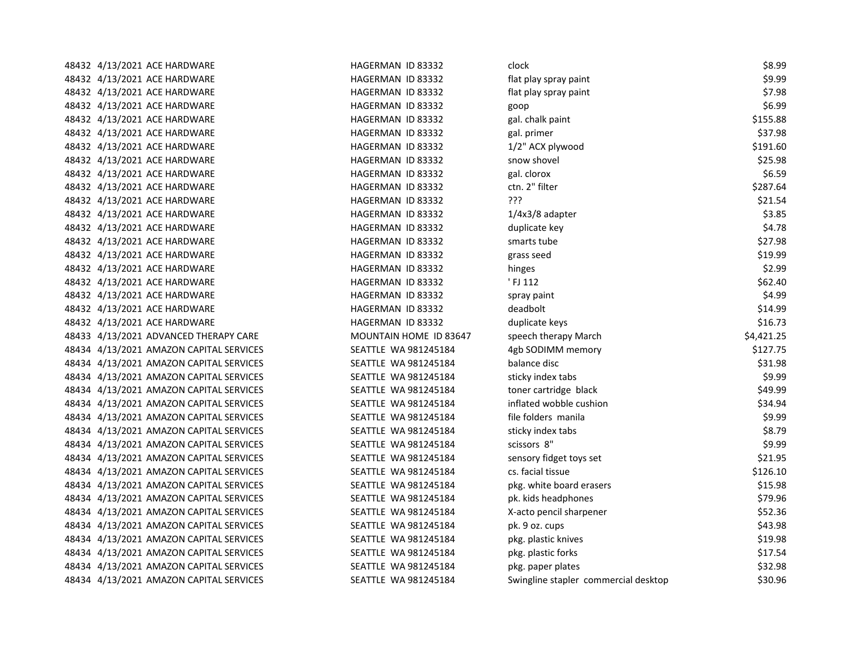| 48432 4/13/2021 ACE HARDWARE            | HAGERMAN ID 83332      | clock                                | \$8.99     |
|-----------------------------------------|------------------------|--------------------------------------|------------|
| 48432 4/13/2021 ACE HARDWARE            | HAGERMAN ID 83332      | flat play spray paint                | \$9.99     |
| 48432 4/13/2021 ACE HARDWARE            | HAGERMAN ID 83332      | flat play spray paint                | \$7.98     |
| 48432 4/13/2021 ACE HARDWARE            | HAGERMAN ID 83332      | goop                                 | \$6.99     |
| 48432 4/13/2021 ACE HARDWARE            | HAGERMAN ID 83332      | gal. chalk paint                     | \$155.88   |
| 48432 4/13/2021 ACE HARDWARE            | HAGERMAN ID 83332      | gal. primer                          | \$37.98    |
| 48432 4/13/2021 ACE HARDWARE            | HAGERMAN ID 83332      | 1/2" ACX plywood                     | \$191.60   |
| 48432 4/13/2021 ACE HARDWARE            | HAGERMAN ID 83332      | snow shovel                          | \$25.98    |
| 48432 4/13/2021 ACE HARDWARE            | HAGERMAN ID 83332      | gal. clorox                          | \$6.59     |
| 48432 4/13/2021 ACE HARDWARE            | HAGERMAN ID 83332      | ctn. 2" filter                       | \$287.64   |
| 48432 4/13/2021 ACE HARDWARE            | HAGERMAN ID 83332      | ???                                  | \$21.54    |
| 48432 4/13/2021 ACE HARDWARE            | HAGERMAN ID 83332      | $1/4x3/8$ adapter                    | \$3.85     |
| 48432 4/13/2021 ACE HARDWARE            | HAGERMAN ID 83332      | duplicate key                        | \$4.78     |
| 48432 4/13/2021 ACE HARDWARE            | HAGERMAN ID 83332      | smarts tube                          | \$27.98    |
| 48432 4/13/2021 ACE HARDWARE            | HAGERMAN ID 83332      | grass seed                           | \$19.99    |
| 48432 4/13/2021 ACE HARDWARE            | HAGERMAN ID 83332      | hinges                               | \$2.99     |
| 48432 4/13/2021 ACE HARDWARE            | HAGERMAN ID 83332      | 'FJ 112                              | \$62.40    |
| 48432 4/13/2021 ACE HARDWARE            | HAGERMAN ID 83332      | spray paint                          | \$4.99     |
| 48432 4/13/2021 ACE HARDWARE            | HAGERMAN ID 83332      | deadbolt                             | \$14.99    |
| 48432 4/13/2021 ACE HARDWARE            | HAGERMAN ID 83332      | duplicate keys                       | \$16.73    |
| 48433 4/13/2021 ADVANCED THERAPY CARE   | MOUNTAIN HOME ID 83647 | speech therapy March                 | \$4,421.25 |
| 48434 4/13/2021 AMAZON CAPITAL SERVICES | SEATTLE WA 981245184   | 4gb SODIMM memory                    | \$127.75   |
| 48434 4/13/2021 AMAZON CAPITAL SERVICES | SEATTLE WA 981245184   | balance disc                         | \$31.98    |
| 48434 4/13/2021 AMAZON CAPITAL SERVICES | SEATTLE WA 981245184   | sticky index tabs                    | \$9.99     |
| 48434 4/13/2021 AMAZON CAPITAL SERVICES | SEATTLE WA 981245184   | toner cartridge black                | \$49.99    |
| 48434 4/13/2021 AMAZON CAPITAL SERVICES | SEATTLE WA 981245184   | inflated wobble cushion              | \$34.94    |
| 48434 4/13/2021 AMAZON CAPITAL SERVICES | SEATTLE WA 981245184   | file folders manila                  | \$9.99     |
| 48434 4/13/2021 AMAZON CAPITAL SERVICES | SEATTLE WA 981245184   | sticky index tabs                    | \$8.79     |
| 48434 4/13/2021 AMAZON CAPITAL SERVICES | SEATTLE WA 981245184   | scissors 8"                          | \$9.99     |
| 48434 4/13/2021 AMAZON CAPITAL SERVICES | SEATTLE WA 981245184   | sensory fidget toys set              | \$21.95    |
| 48434 4/13/2021 AMAZON CAPITAL SERVICES | SEATTLE WA 981245184   | cs. facial tissue                    | \$126.10   |
| 48434 4/13/2021 AMAZON CAPITAL SERVICES | SEATTLE WA 981245184   | pkg. white board erasers             | \$15.98    |
| 48434 4/13/2021 AMAZON CAPITAL SERVICES | SEATTLE WA 981245184   | pk. kids headphones                  | \$79.96    |
| 48434 4/13/2021 AMAZON CAPITAL SERVICES | SEATTLE WA 981245184   | X-acto pencil sharpener              | \$52.36    |
| 48434 4/13/2021 AMAZON CAPITAL SERVICES | SEATTLE WA 981245184   | pk. 9 oz. cups                       | \$43.98    |
| 48434 4/13/2021 AMAZON CAPITAL SERVICES | SEATTLE WA 981245184   | pkg. plastic knives                  | \$19.98    |
| 48434 4/13/2021 AMAZON CAPITAL SERVICES | SEATTLE WA 981245184   | pkg. plastic forks                   | \$17.54    |
| 48434 4/13/2021 AMAZON CAPITAL SERVICES | SEATTLE WA 981245184   | pkg. paper plates                    | \$32.98    |
| 48434 4/13/2021 AMAZON CAPITAL SERVICES | SEATTLE WA 981245184   | Swingline stapler commercial desktop | \$30.96    |
|                                         |                        |                                      |            |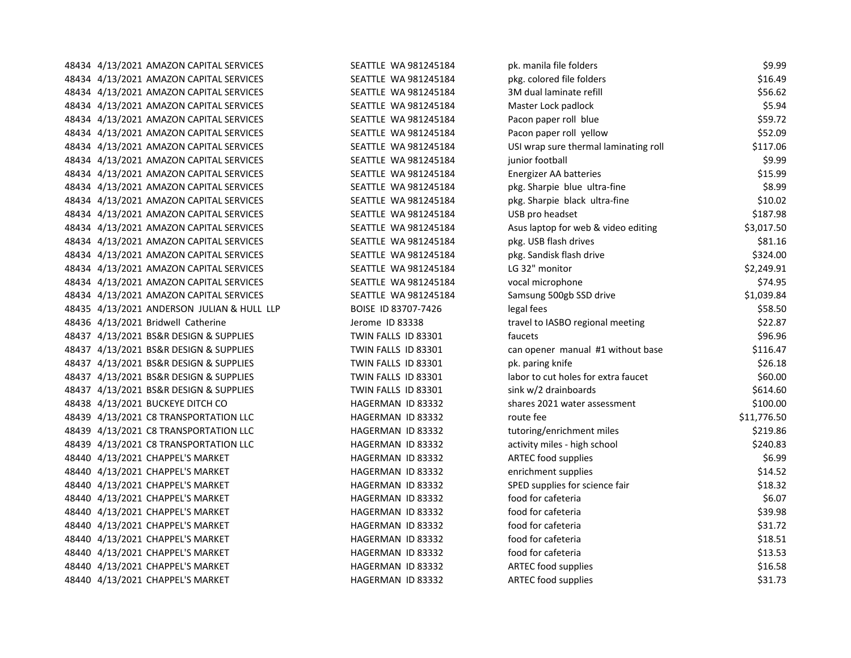48434 4/13/2021 AMAZON CAPITAL SERVICES SEATTLE WA 981245184 48434 4/13/2021 AMAZON CAPITAL SERVICES SEATTLE WA 981245184 48434 4/13/2021 AMAZON CAPITAL SERVICES SEATTLE WA 981245184 48434 4/13/2021 AMAZON CAPITAL SERVICES SEATTLE WA 981245184 48434 4/13/2021 AMAZON CAPITAL SERVICES SEATTLE WA 981245184 48434 4/13/2021 AMAZON CAPITAL SERVICES SEATTLE WA 981245184 48434 4/13/2021 AMAZON CAPITAL SERVICES SEATTLE WA 981245184 USI wrap sure thermal laminating roll \$117.06 48434 4/13/2021 AMAZON CAPITAL SERVICES SEATTLE WA 981245184 48434 4/13/2021 AMAZON CAPITAL SERVICES SEATTLE WA 981245184 48434 4/13/2021 AMAZON CAPITAL SERVICES SEATTLE WA 981245184 48434 4/13/2021 AMAZON CAPITAL SERVICES SEATTLE WA 981245184 48434 4/13/2021 AMAZON CAPITAL SERVICES SEATTLE WA 981245184 48434 4/13/2021 AMAZON CAPITAL SERVICES SEATTLE WA 981245184 48434 4/13/2021 AMAZON CAPITAL SERVICES SEATTLE WA 981245184 48434 4/13/2021 AMAZON CAPITAL SERVICES SEATTLE WA 981245184 48434 4/13/2021 AMAZON CAPITAL SERVICES SEATTLE WA 981245184 48434 4/13/2021 AMAZON CAPITAL SERVICES SEATTLE WA 981245184 48434 4/13/2021 AMAZON CAPITAL SERVICES SEATTLE WA 981245184 48435 4/13/2021 ANDERSON JULIAN & HULL LLP BOISE ID 83707-7426 48436 4/13/2021 Bridwell Catherine Jerome ID 83338 48437 4/13/2021 BS&R DESIGN & SUPPLIES TWIN FALLS ID 83301 48437 4/13/2021 BS&R DESIGN & SUPPLIES TWIN FALLS ID 83301 48437 4/13/2021 BS&R DESIGN & SUPPLIES TWIN FALLS ID 83301 48437 4/13/2021 BS&R DESIGN & SUPPLIES TWIN FALLS ID 83301 48437 4/13/2021 BS&R DESIGN & SUPPLIES TWIN FALLS ID 83301 48438 4/13/2021 BUCKEYE DITCH CO **HAGERMAN ID 83332** 48439 4/13/2021 C8 TRANSPORTATION LLC HAGERMAN ID 83332 48439 4/13/2021 C8 TRANSPORTATION LLC **HAGERMAN ID 83332** 48439 4/13/2021 C8 TRANSPORTATION LLC HAGERMAN ID 83332 48440 4/13/2021 CHAPPEL'S MARKET HAGERMAN ID 83332 48440 4/13/2021 CHAPPEL'S MARKET HAGERMAN ID 83332 48440 4/13/2021 CHAPPEL'S MARKET HAGERMAN ID 83332 48440 4/13/2021 CHAPPEL'S MARKET HAGERMAN ID 83332 48440 4/13/2021 CHAPPEL'S MARKET **HAGERMAN ID 83332** 48440 4/13/2021 CHAPPEL'S MARKET HAGERMAN ID 83332 48440 4/13/2021 CHAPPEL'S MARKET HAGERMAN ID 83332 48440 4/13/2021 CHAPPEL'S MARKET HAGERMAN ID 83332 48440 4/13/2021 CHAPPEL'S MARKET HAGERMAN ID 83332 48440 4/13/2021 CHAPPEL'S MARKET HAGERMAN ID 83332

| pk. manila file folders               | \$9.99      |
|---------------------------------------|-------------|
| pkg. colored file folders             | \$16.49     |
| 3M dual laminate refill               | \$56.62     |
| Master Lock padlock                   | \$5.94      |
| Pacon paper roll blue                 | \$59.72     |
| Pacon paper roll yellow               | \$52.09     |
| USI wrap sure thermal laminating roll | \$117.06    |
| junior football                       | \$9.99      |
| Energizer AA batteries                | \$15.99     |
| pkg. Sharpie blue ultra-fine          | \$8.99      |
| pkg. Sharpie black ultra-fine         | \$10.02     |
| USB pro headset                       | \$187.98    |
| Asus laptop for web & video editing   | \$3,017.50  |
| pkg. USB flash drives                 | \$81.16     |
| pkg. Sandisk flash drive              | \$324.00    |
| LG 32" monitor                        | \$2,249.91  |
| vocal microphone                      | \$74.95     |
| Samsung 500gb SSD drive               | \$1,039.84  |
| legal fees                            | \$58.50     |
| travel to IASBO regional meeting      | \$22.87     |
| faucets                               | \$96.96     |
| can opener manual #1 without base     | \$116.47    |
| pk. paring knife                      | \$26.18     |
| abor to cut holes for extra faucet    | \$60.00     |
| sink w/2 drainboards                  | \$614.60    |
| shares 2021 water assessment          | \$100.00    |
| route fee                             | \$11,776.50 |
| tutoring/enrichment miles             | \$219.86    |
| activity miles - high school          | \$240.83    |
| <b>ARTEC food supplies</b>            | \$6.99      |
| enrichment supplies                   | \$14.52     |
| SPED supplies for science fair        | \$18.32     |
| food for cafeteria                    | \$6.07      |
| food for cafeteria                    | \$39.98     |
| food for cafeteria                    | \$31.72     |
| food for cafeteria                    | \$18.51     |
| food for cafeteria                    | \$13.53     |
| <b>ARTEC food supplies</b>            | \$16.58     |
| <b>ARTEC food supplies</b>            | \$31.73     |
|                                       |             |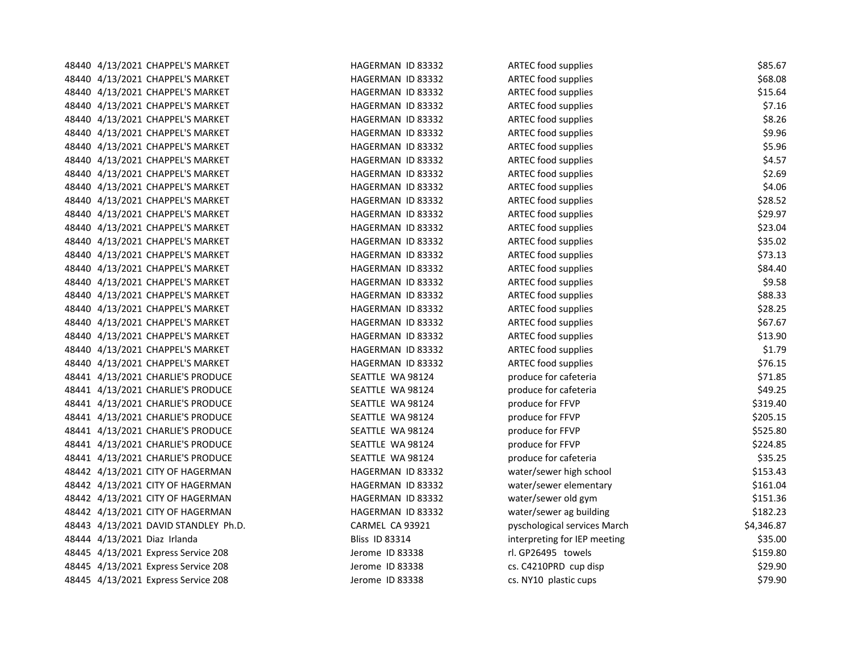| 48440 4/13/2021 CHAPPEL'S MARKET     | HAGERMAN ID 83332     | <b>ARTEC food supplies</b>   | \$85.67    |
|--------------------------------------|-----------------------|------------------------------|------------|
| 48440 4/13/2021 CHAPPEL'S MARKET     | HAGERMAN ID 83332     | <b>ARTEC food supplies</b>   | \$68.08    |
| 48440 4/13/2021 CHAPPEL'S MARKET     | HAGERMAN ID 83332     | <b>ARTEC food supplies</b>   | \$15.64    |
| 48440 4/13/2021 CHAPPEL'S MARKET     | HAGERMAN ID 83332     | <b>ARTEC food supplies</b>   | \$7.16     |
| 48440 4/13/2021 CHAPPEL'S MARKET     | HAGERMAN ID 83332     | <b>ARTEC food supplies</b>   | \$8.26     |
| 48440 4/13/2021 CHAPPEL'S MARKET     | HAGERMAN ID 83332     | <b>ARTEC food supplies</b>   | \$9.96     |
| 48440 4/13/2021 CHAPPEL'S MARKET     | HAGERMAN ID 83332     | <b>ARTEC food supplies</b>   | \$5.96     |
| 48440 4/13/2021 CHAPPEL'S MARKET     | HAGERMAN ID 83332     | <b>ARTEC food supplies</b>   | \$4.57     |
| 48440 4/13/2021 CHAPPEL'S MARKET     | HAGERMAN ID 83332     | <b>ARTEC food supplies</b>   | \$2.69     |
| 48440 4/13/2021 CHAPPEL'S MARKET     | HAGERMAN ID 83332     | <b>ARTEC food supplies</b>   | \$4.06     |
| 48440 4/13/2021 CHAPPEL'S MARKET     | HAGERMAN ID 83332     | <b>ARTEC food supplies</b>   | \$28.52    |
| 48440 4/13/2021 CHAPPEL'S MARKET     | HAGERMAN ID 83332     | <b>ARTEC food supplies</b>   | \$29.97    |
| 48440 4/13/2021 CHAPPEL'S MARKET     | HAGERMAN ID 83332     | <b>ARTEC food supplies</b>   | \$23.04    |
| 48440 4/13/2021 CHAPPEL'S MARKET     | HAGERMAN ID 83332     | ARTEC food supplies          | \$35.02    |
| 48440 4/13/2021 CHAPPEL'S MARKET     | HAGERMAN ID 83332     | <b>ARTEC food supplies</b>   | \$73.13    |
| 48440 4/13/2021 CHAPPEL'S MARKET     | HAGERMAN ID 83332     | <b>ARTEC food supplies</b>   | \$84.40    |
| 48440 4/13/2021 CHAPPEL'S MARKET     | HAGERMAN ID 83332     | <b>ARTEC food supplies</b>   | \$9.58     |
| 48440 4/13/2021 CHAPPEL'S MARKET     | HAGERMAN ID 83332     | <b>ARTEC food supplies</b>   | \$88.33    |
| 48440 4/13/2021 CHAPPEL'S MARKET     | HAGERMAN ID 83332     | <b>ARTEC food supplies</b>   | \$28.25    |
| 48440 4/13/2021 CHAPPEL'S MARKET     | HAGERMAN ID 83332     | <b>ARTEC food supplies</b>   | \$67.67    |
| 48440 4/13/2021 CHAPPEL'S MARKET     | HAGERMAN ID 83332     | <b>ARTEC food supplies</b>   | \$13.90    |
| 48440 4/13/2021 CHAPPEL'S MARKET     | HAGERMAN ID 83332     | <b>ARTEC food supplies</b>   | \$1.79     |
| 48440 4/13/2021 CHAPPEL'S MARKET     | HAGERMAN ID 83332     | <b>ARTEC food supplies</b>   | \$76.15    |
| 48441 4/13/2021 CHARLIE'S PRODUCE    | SEATTLE WA 98124      | produce for cafeteria        | \$71.85    |
| 48441 4/13/2021 CHARLIE'S PRODUCE    | SEATTLE WA 98124      | produce for cafeteria        | \$49.25    |
| 48441 4/13/2021 CHARLIE'S PRODUCE    | SEATTLE WA 98124      | produce for FFVP             | \$319.40   |
| 48441 4/13/2021 CHARLIE'S PRODUCE    | SEATTLE WA 98124      | produce for FFVP             | \$205.15   |
| 48441 4/13/2021 CHARLIE'S PRODUCE    | SEATTLE WA 98124      | produce for FFVP             | \$525.80   |
| 48441 4/13/2021 CHARLIE'S PRODUCE    | SEATTLE WA 98124      | produce for FFVP             | \$224.85   |
| 48441 4/13/2021 CHARLIE'S PRODUCE    | SEATTLE WA 98124      | produce for cafeteria        | \$35.25    |
| 48442 4/13/2021 CITY OF HAGERMAN     | HAGERMAN ID 83332     | water/sewer high school      | \$153.43   |
| 48442 4/13/2021 CITY OF HAGERMAN     | HAGERMAN ID 83332     | water/sewer elementary       | \$161.04   |
| 48442 4/13/2021 CITY OF HAGERMAN     | HAGERMAN ID 83332     | water/sewer old gym          | \$151.36   |
| 48442 4/13/2021 CITY OF HAGERMAN     | HAGERMAN ID 83332     | water/sewer ag building      | \$182.23   |
| 48443 4/13/2021 DAVID STANDLEY Ph.D. | CARMEL CA 93921       | pyschological services March | \$4,346.87 |
| 48444 4/13/2021 Diaz Irlanda         | <b>Bliss ID 83314</b> | interpreting for IEP meeting | \$35.00    |
| 48445 4/13/2021 Express Service 208  | Jerome ID 83338       | rl. GP26495 towels           | \$159.80   |
| 48445 4/13/2021 Express Service 208  | Jerome ID 83338       | cs. C4210PRD cup disp        | \$29.90    |
| 48445 4/13/2021 Express Service 208  | Jerome ID 83338       | cs. NY10 plastic cups        | \$79.90    |
|                                      |                       |                              |            |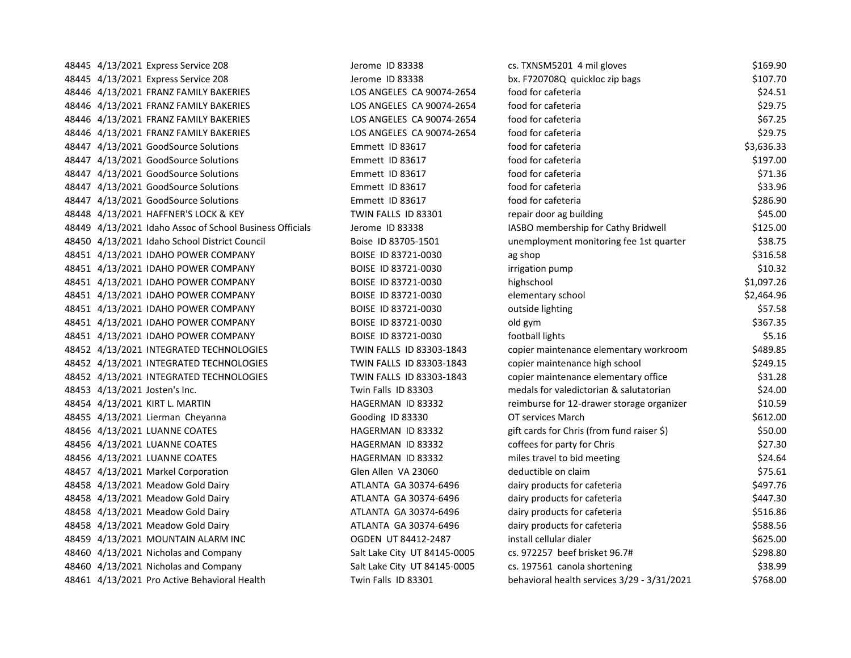|       | 48445 4/13/2021 Express Service 208                  |
|-------|------------------------------------------------------|
|       | 48445 4/13/2021 Express Service 208                  |
|       | 48446 4/13/2021 FRANZ FAMILY BAKERIES                |
|       | 48446 4/13/2021 FRANZ FAMILY BAKERIES                |
|       | 48446 4/13/2021 FRANZ FAMILY BAKERIES                |
|       | 48446 4/13/2021 FRANZ FAMILY BAKERIES                |
|       | 48447 4/13/2021 GoodSource Solutions                 |
|       | 48447 4/13/2021 GoodSource Solutions                 |
|       | 48447 4/13/2021 GoodSource Solutions                 |
|       | 48447 4/13/2021 GoodSource Solutions                 |
|       | 48447 4/13/2021 GoodSource Solutions                 |
|       | 48448 4/13/2021 HAFFNER'S LOCK & KEY                 |
|       | 48449 4/13/2021 Idaho Assoc of School Business Offic |
|       | 48450 4/13/2021 Idaho School District Council        |
|       | 48451 4/13/2021 IDAHO POWER COMPANY                  |
|       | 48451 4/13/2021 IDAHO POWER COMPANY                  |
|       | 48451 4/13/2021 IDAHO POWER COMPANY                  |
|       | 48451 4/13/2021 IDAHO POWER COMPANY                  |
|       | 48451 4/13/2021 IDAHO POWER COMPANY                  |
|       | 48451 4/13/2021 IDAHO POWER COMPANY                  |
|       | 48451 4/13/2021 IDAHO POWER COMPANY                  |
|       | 48452 4/13/2021 INTEGRATED TECHNOLOGIES              |
|       | 48452 4/13/2021 INTEGRATED TECHNOLOGIES              |
|       | 48452 4/13/2021 INTEGRATED TECHNOLOGIES              |
|       | 48453 4/13/2021 Josten's Inc.                        |
|       | 48454 4/13/2021 KIRT L. MARTIN                       |
|       | 48455 4/13/2021 Lierman Cheyanna                     |
|       | 48456 4/13/2021 LUANNE COATES                        |
|       | 48456 4/13/2021 LUANNE COATES                        |
|       | 48456 4/13/2021 LUANNE COATES                        |
|       | 48457 4/13/2021 Markel Corporation                   |
|       | 48458 4/13/2021 Meadow Gold Dairy                    |
|       | 48458 4/13/2021 Meadow Gold Dairy                    |
|       | 48458 4/13/2021 Meadow Gold Dairy                    |
|       | 48458 4/13/2021 Meadow Gold Dairy                    |
|       | 48459 4/13/2021 MOUNTAIN ALARM INC                   |
|       | 48460 4/13/2021 Nicholas and Company                 |
|       | 48460 4/13/2021 Nicholas and Company                 |
| 48461 | 4/13/2021 Pro Active Behavioral Health               |

| erome ID 83338               |
|------------------------------|
| erome ID 83338               |
| OS ANGELES CA 90074-2654     |
| OS ANGELES CA 90074-2654     |
| OS ANGELES CA 90074-2654     |
| OS ANGELES CA 90074-2654     |
| Emmett ID 83617              |
| mmett ID 83617               |
| Immett ID 83617              |
| Emmett ID 83617              |
| Emmett ID 83617              |
| TWIN FALLS ID 83301          |
| erome ID 83338               |
| Boise ID 83705-1501          |
| 8OISE ID 83721-0030          |
| 3OISE ID 83721-0030          |
| 3OISE<br>ID 83721-0030       |
| BOISE ID 83721-0030          |
| BOISE ID 83721-0030          |
| BOISE ID 83721-0030          |
| 3OISE ID 83721-0030          |
| TWIN FALLS ID 83303-1843     |
| TWIN FALLS ID 83303-1843     |
| TWIN FALLS ID 83303-1843     |
| Twin Falls ID 83303          |
| <b>HAGERMAN ID 83332</b>     |
| Gooding ID 83330             |
| HAGERMAN ID 83332            |
| HAGERMAN ID 83332            |
| <b>HAGERMAN ID 83332</b>     |
| Glen Allen VA 23060          |
| <b>ATLANTA GA 30374-6496</b> |
| ATLANTA GA 30374-6496        |
| ATLANTA GA 30374-6496        |
| ATLANTA GA 30374-6496        |
| DGDEN UT 84412-2487          |
| alt Lake City UT 84145-0005  |
| alt Lake City UT 84145-0005  |
| Twin Falls ID 83301          |

| 48445 4/13/2021 Express Service 208                      | Jerome ID 83338              | cs. TXNSM5201 4 mil gloves                  | \$169.90   |
|----------------------------------------------------------|------------------------------|---------------------------------------------|------------|
| 48445 4/13/2021 Express Service 208                      | Jerome ID 83338              | bx. F720708Q quickloc zip bags              | \$107.70   |
| 48446 4/13/2021 FRANZ FAMILY BAKERIES                    | LOS ANGELES CA 90074-2654    | food for cafeteria                          | \$24.51    |
| 48446 4/13/2021 FRANZ FAMILY BAKERIES                    | LOS ANGELES CA 90074-2654    | food for cafeteria                          | \$29.75    |
| 48446   4/13/2021  FRANZ FAMILY BAKERIES                 | LOS ANGELES CA 90074-2654    | food for cafeteria                          | \$67.25    |
| 48446   4/13/2021  FRANZ FAMILY BAKERIES                 | LOS ANGELES CA 90074-2654    | food for cafeteria                          | \$29.75    |
| 48447 4/13/2021 GoodSource Solutions                     | Emmett ID 83617              | food for cafeteria                          | \$3,636.33 |
| 48447 4/13/2021 GoodSource Solutions                     | Emmett ID 83617              | food for cafeteria                          | \$197.00   |
| 48447 4/13/2021 GoodSource Solutions                     | Emmett ID 83617              | food for cafeteria                          | \$71.36    |
| 48447 4/13/2021 GoodSource Solutions                     | Emmett ID 83617              | food for cafeteria                          | \$33.96    |
| 48447 4/13/2021 GoodSource Solutions                     | Emmett ID 83617              | food for cafeteria                          | \$286.90   |
| 48448 4/13/2021 HAFFNER'S LOCK & KEY                     | TWIN FALLS ID 83301          | repair door ag building                     | \$45.00    |
| 48449 4/13/2021 Idaho Assoc of School Business Officials | Jerome ID 83338              | IASBO membership for Cathy Bridwell         | \$125.00   |
| 48450 4/13/2021 Idaho School District Council            | Boise ID 83705-1501          | unemployment monitoring fee 1st quarter     | \$38.75    |
| 48451 4/13/2021 IDAHO POWER COMPANY                      | BOISE ID 83721-0030          | ag shop                                     | \$316.58   |
| 48451 4/13/2021 IDAHO POWER COMPANY                      | BOISE ID 83721-0030          | irrigation pump                             | \$10.32    |
| 48451 4/13/2021 IDAHO POWER COMPANY                      | BOISE ID 83721-0030          | highschool                                  | \$1,097.26 |
| 48451 4/13/2021 IDAHO POWER COMPANY                      | BOISE ID 83721-0030          | elementary school                           | \$2,464.96 |
| 48451 4/13/2021 IDAHO POWER COMPANY                      | BOISE ID 83721-0030          | outside lighting                            | \$57.58    |
| 48451 4/13/2021 IDAHO POWER COMPANY                      | BOISE ID 83721-0030          | old gym                                     | \$367.35   |
| 48451 4/13/2021 IDAHO POWER COMPANY                      | BOISE ID 83721-0030          | football lights                             | \$5.16     |
| 48452 4/13/2021 INTEGRATED TECHNOLOGIES                  | TWIN FALLS ID 83303-1843     | copier maintenance elementary workroom      | \$489.85   |
| 48452 4/13/2021 INTEGRATED TECHNOLOGIES                  | TWIN FALLS ID 83303-1843     | copier maintenance high school              | \$249.15   |
| 48452 4/13/2021 INTEGRATED TECHNOLOGIES                  | TWIN FALLS ID 83303-1843     | copier maintenance elementary office        | \$31.28    |
| 48453 4/13/2021 Josten's Inc.                            | Twin Falls ID 83303          | medals for valedictorian & salutatorian     | \$24.00    |
| 48454 4/13/2021 KIRT L. MARTIN                           | HAGERMAN ID 83332            | reimburse for 12-drawer storage organizer   | \$10.59    |
| 48455 4/13/2021 Lierman Cheyanna                         | Gooding ID 83330             | OT services March                           | \$612.00   |
| 48456 4/13/2021 LUANNE COATES                            | HAGERMAN ID 83332            | gift cards for Chris (from fund raiser \$)  | \$50.00    |
| 48456 4/13/2021 LUANNE COATES                            | HAGERMAN ID 83332            | coffees for party for Chris                 | \$27.30    |
| 48456 4/13/2021 LUANNE COATES                            | HAGERMAN ID 83332            | miles travel to bid meeting                 | \$24.64    |
| 48457 4/13/2021 Markel Corporation                       | Glen Allen VA 23060          | deductible on claim                         | \$75.61    |
| 48458 4/13/2021 Meadow Gold Dairy                        | ATLANTA GA 30374-6496        | dairy products for cafeteria                | \$497.76   |
| 48458 4/13/2021 Meadow Gold Dairy                        | ATLANTA GA 30374-6496        | dairy products for cafeteria                | \$447.30   |
| 48458 4/13/2021 Meadow Gold Dairy                        | ATLANTA GA 30374-6496        | dairy products for cafeteria                | \$516.86   |
| 48458 4/13/2021 Meadow Gold Dairy                        | ATLANTA GA 30374-6496        | dairy products for cafeteria                | \$588.56   |
| 48459 4/13/2021 MOUNTAIN ALARM INC                       | OGDEN UT 84412-2487          | install cellular dialer                     | \$625.00   |
| 48460 4/13/2021 Nicholas and Company                     | Salt Lake City UT 84145-0005 | cs. 972257 beef brisket 96.7#               | \$298.80   |
| 48460 4/13/2021 Nicholas and Company                     | Salt Lake City UT 84145-0005 | cs. 197561 canola shortening                | \$38.99    |
| 48461 4/13/2021 Pro Active Behavioral Health             | Twin Falls ID 83301          | behavioral health services 3/29 - 3/31/2021 | \$768.00   |
|                                                          |                              |                                             |            |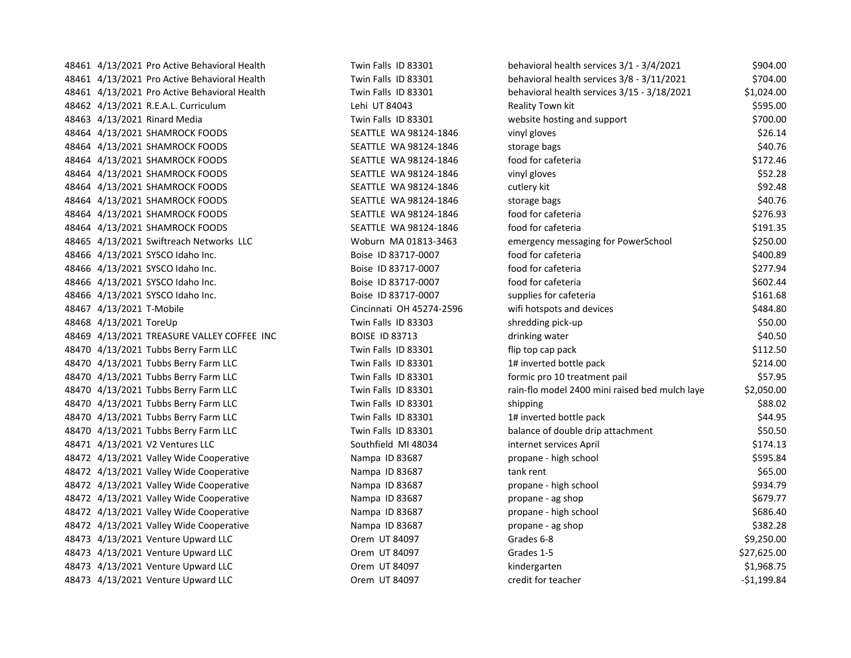| 48461 4/13/2021 Pro Active Behavioral Health | Twin Falls ID 83301      | behavioral health services 3/1 - 3/4/2021      | \$904.00     |
|----------------------------------------------|--------------------------|------------------------------------------------|--------------|
| 48461 4/13/2021 Pro Active Behavioral Health | Twin Falls ID 83301      | behavioral health services 3/8 - 3/11/2021     | \$704.00     |
| 48461 4/13/2021 Pro Active Behavioral Health | Twin Falls ID 83301      | behavioral health services 3/15 - 3/18/2021    | \$1,024.00   |
| 48462 4/13/2021 R.E.A.L. Curriculum          | Lehi UT 84043            | Reality Town kit                               | \$595.00     |
| 48463 4/13/2021 Rinard Media                 | Twin Falls ID 83301      | website hosting and support                    | \$700.00     |
| 48464 4/13/2021 SHAMROCK FOODS               | SEATTLE WA 98124-1846    | vinyl gloves                                   | \$26.14      |
| 48464 4/13/2021 SHAMROCK FOODS               | SEATTLE WA 98124-1846    | storage bags                                   | \$40.76      |
| 48464 4/13/2021 SHAMROCK FOODS               | SEATTLE WA 98124-1846    | food for cafeteria                             | \$172.46     |
| 48464 4/13/2021 SHAMROCK FOODS               | SEATTLE WA 98124-1846    | vinyl gloves                                   | \$52.28      |
| 48464 4/13/2021 SHAMROCK FOODS               | SEATTLE WA 98124-1846    | cutlery kit                                    | \$92.48      |
| 48464 4/13/2021 SHAMROCK FOODS               | SEATTLE WA 98124-1846    | storage bags                                   | \$40.76      |
| 48464 4/13/2021 SHAMROCK FOODS               | SEATTLE WA 98124-1846    | food for cafeteria                             | \$276.93     |
| 48464 4/13/2021 SHAMROCK FOODS               | SEATTLE WA 98124-1846    | food for cafeteria                             | \$191.35     |
| 48465 4/13/2021 Swiftreach Networks LLC      | Woburn MA 01813-3463     | emergency messaging for PowerSchool            | \$250.00     |
| 48466 4/13/2021 SYSCO Idaho Inc.             | Boise ID 83717-0007      | food for cafeteria                             | \$400.89     |
| 48466 4/13/2021 SYSCO Idaho Inc.             | Boise ID 83717-0007      | food for cafeteria                             | \$277.94     |
| 48466 4/13/2021 SYSCO Idaho Inc.             | Boise ID 83717-0007      | food for cafeteria                             | \$602.44     |
| 48466 4/13/2021 SYSCO Idaho Inc.             | Boise ID 83717-0007      | supplies for cafeteria                         | \$161.68     |
| 48467 4/13/2021 T-Mobile                     | Cincinnati OH 45274-2596 | wifi hotspots and devices                      | \$484.80     |
| 48468 4/13/2021 ToreUp                       | Twin Falls ID 83303      | shredding pick-up                              | \$50.00      |
| 48469 4/13/2021 TREASURE VALLEY COFFEE INC   | <b>BOISE ID 83713</b>    | drinking water                                 | \$40.50      |
| 48470 4/13/2021 Tubbs Berry Farm LLC         | Twin Falls ID 83301      | flip top cap pack                              | \$112.50     |
| 48470 4/13/2021 Tubbs Berry Farm LLC         | Twin Falls ID 83301      | 1# inverted bottle pack                        | \$214.00     |
| 48470 4/13/2021 Tubbs Berry Farm LLC         | Twin Falls ID 83301      | formic pro 10 treatment pail                   | \$57.95      |
| 48470 4/13/2021 Tubbs Berry Farm LLC         | Twin Falls ID 83301      | rain-flo model 2400 mini raised bed mulch laye | \$2,050.00   |
| 48470 4/13/2021 Tubbs Berry Farm LLC         | Twin Falls ID 83301      | shipping                                       | \$88.02      |
| 48470 4/13/2021 Tubbs Berry Farm LLC         | Twin Falls ID 83301      | 1# inverted bottle pack                        | \$44.95      |
| 48470 4/13/2021 Tubbs Berry Farm LLC         | Twin Falls ID 83301      | balance of double drip attachment              | \$50.50      |
| 48471 4/13/2021 V2 Ventures LLC              | Southfield MI 48034      | internet services April                        | \$174.13     |
| 48472 4/13/2021 Valley Wide Cooperative      | Nampa ID 83687           | propane - high school                          | \$595.84     |
| 48472 4/13/2021 Valley Wide Cooperative      | Nampa ID 83687           | tank rent                                      | \$65.00      |
| 48472 4/13/2021 Valley Wide Cooperative      | Nampa ID 83687           | propane - high school                          | \$934.79     |
| 48472 4/13/2021 Valley Wide Cooperative      | Nampa ID 83687           | propane - ag shop                              | \$679.77     |
| 48472 4/13/2021 Valley Wide Cooperative      | Nampa ID 83687           | propane - high school                          | \$686.40     |
| 48472 4/13/2021 Valley Wide Cooperative      | Nampa ID 83687           | propane - ag shop                              | \$382.28     |
| 48473 4/13/2021 Venture Upward LLC           | Orem UT 84097            | Grades 6-8                                     | \$9,250.00   |
| 48473 4/13/2021 Venture Upward LLC           | Orem UT 84097            | Grades 1-5                                     | \$27,625.00  |
| 48473 4/13/2021 Venture Upward LLC           | Orem UT 84097            | kindergarten                                   | \$1,968.75   |
| 48473 4/13/2021 Venture Upward LLC           | Orem UT 84097            | credit for teacher                             | $-$1,199.84$ |

| behavioral health services 3/1 - 3/4/2021      | \$904.00     |
|------------------------------------------------|--------------|
| behavioral health services 3/8 - 3/11/2021     | \$704.00     |
| behavioral health services 3/15 - 3/18/2021    | \$1,024.00   |
| Reality Town kit                               | \$595.00     |
| website hosting and support                    | \$700.00     |
| vinyl gloves                                   | \$26.14      |
| storage bags                                   | \$40.76      |
| food for cafeteria                             | \$172.46     |
| vinyl gloves                                   | \$52.28      |
| cutlery kit                                    | \$92.48      |
| storage bags                                   | \$40.76      |
| food for cafeteria                             | \$276.93     |
| food for cafeteria                             | \$191.35     |
| emergency messaging for PowerSchool            | \$250.00     |
| food for cafeteria                             | \$400.89     |
| food for cafeteria                             | \$277.94     |
| food for cafeteria                             | \$602.44     |
| supplies for cafeteria                         | \$161.68     |
| wifi hotspots and devices                      | \$484.80     |
| shredding pick-up                              | \$50.00      |
| drinking water                                 | \$40.50      |
| flip top cap pack                              | \$112.50     |
| 1# inverted bottle pack                        | \$214.00     |
| formic pro 10 treatment pail                   | \$57.95      |
| rain-flo model 2400 mini raised bed mulch laye | \$2,050.00   |
| shipping                                       | \$88.02      |
| 1# inverted bottle pack                        | \$44.95      |
| balance of double drip attachment              | \$50.50      |
| internet services April                        | \$174.13     |
| propane - high school                          | \$595.84     |
| tank rent                                      | \$65.00      |
| propane - high school                          | \$934.79     |
| propane - ag shop                              | \$679.77     |
| propane - high school                          | \$686.40     |
| propane - ag shop                              | \$382.28     |
| Grades 6-8                                     | \$9,250.00   |
| Grades 1-5                                     | \$27,625.00  |
| kindergarten                                   | \$1,968.75   |
| credit for teacher                             | $-$1,199.84$ |
|                                                |              |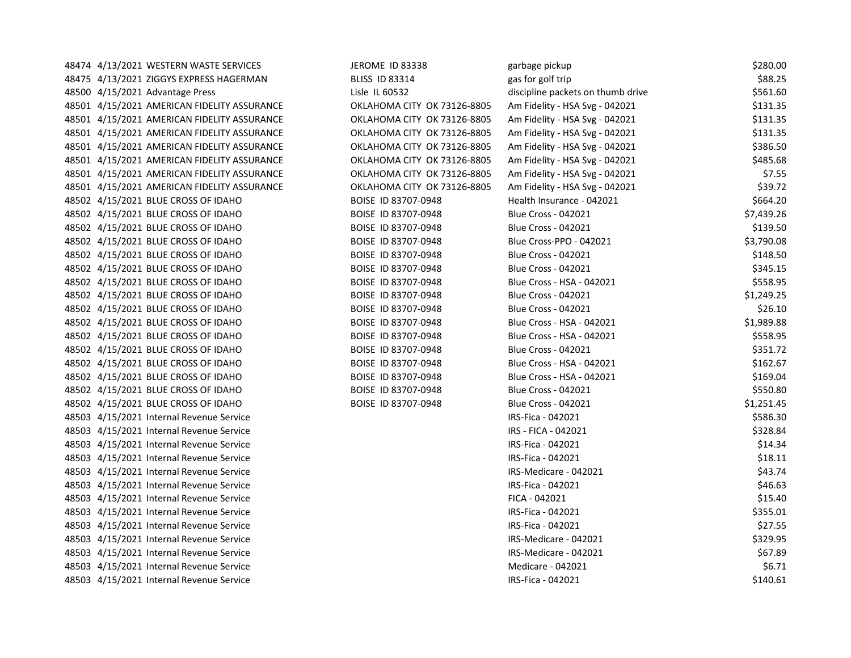48474 4/13/2021 WESTERN WASTE SERVICES JEROME 48475 4/13/2021 ZIGGYS EXPRESS HAGERMAN BLISS ID 48500 4/15/2021 Advantage Press Lisle IL 60532 Lisle IL 60532 discipline packets on the packets of the state  $\frac{5}{5}$ 48501 4/15/2021 AMERICAN FIDELITY ASSURANCE OKLAHOM 48501 4/15/2021 AMERICAN FIDELITY ASSURANCE OKLAHOM 48501 4/15/2021 AMERICAN FIDELITY ASSURANCE OKLAHOM 48501 4/15/2021 AMERICAN FIDELITY ASSURANCE OKLAHOM 48501 4/15/2021 AMERICAN FIDELITY ASSURANCE OKLAHOM 48501 4/15/2021 AMERICAN FIDELITY ASSURANCE OKLAHOM 48501 4/15/2021 AMERICAN FIDELITY ASSURANCE OKLAHOM 48502 4/15/2021 BLUE CROSS OF IDAHO BOISE ID 48502 4/15/2021 BLUE CROSS OF IDAHO BOISE ID 48502 4/15/2021 BLUE CROSS OF IDAHO BOISE ID 48502 4/15/2021 BLUE CROSS OF IDAHO BOISE ID 48502 4/15/2021 BLUE CROSS OF IDAHO BOISE ID 48502 4/15/2021 BLUE CROSS OF IDAHO BOISE ID 48502 4/15/2021 BLUE CROSS OF IDAHO BOISE ID 48502 4/15/2021 BLUE CROSS OF IDAHO BOISE ID 48502 4/15/2021 BLUE CROSS OF IDAHO BOISE ID 48502 4/15/2021 BLUE CROSS OF IDAHO BOISE ID 48502 4/15/2021 BLUE CROSS OF IDAHO BOISE ID 48502 4/15/2021 BLUE CROSS OF IDAHO BOISE ID 48502 4/15/2021 BLUE CROSS OF IDAHO BOISE ID 48502 4/15/2021 BLUE CROSS OF IDAHO BOISE ID 48502 4/15/2021 BLUE CROSS OF IDAHO BOISE ID 48502 4/15/2021 BLUE CROSS OF IDAHO BOISE ID 48503 4/15/2021 Internal Revenue Service 48503 4/15/2021 Internal Revenue Service 48503 4/15/2021 Internal Revenue Service 48503 4/15/2021 Internal Revenue Service 48503 4/15/2021 Internal Revenue Service 48503 4/15/2021 Internal Revenue Service 48503 4/15/2021 Internal Revenue Service 48503 4/15/2021 Internal Revenue Service 48503 4/15/2021 Internal Revenue Service 48503 4/15/2021 Internal Revenue Service 48503 4/15/2021 Internal Revenue Service 48503 4/15/2021 Internal Revenue Service 48503 4/15/2021 Internal Revenue Service

| \$88.25<br>83314<br>gas for golf trip<br>0532<br>discipline packets on thumb drive<br>\$561.60<br>VIA CITY OK 73126-8805<br>Am Fidelity - HSA Svg - 042021<br>\$131.35<br>MA CITY OK 73126-8805<br>\$131.35<br>Am Fidelity - HSA Svg - 042021<br>VIA CITY OK 73126-8805<br>Am Fidelity - HSA Svg - 042021<br>\$131.35<br>MA CITY OK 73126-8805<br>\$386.50<br>Am Fidelity - HSA Svg - 042021<br>MA CITY OK 73126-8805<br>\$485.68<br>Am Fidelity - HSA Svg - 042021<br>MA CITY OK 73126-8805<br>Am Fidelity - HSA Svg - 042021<br>\$7.55<br>MA CITY OK 73126-8805<br>\$39.72<br>Am Fidelity - HSA Svg - 042021<br>\$664.20<br>83707-0948<br>Health Insurance - 042021<br><b>Blue Cross - 042021</b><br>\$7,439.26<br>83707-0948<br>\$139.50<br>83707-0948<br><b>Blue Cross - 042021</b><br>Blue Cross-PPO - 042021<br>\$3,790.08<br>83707-0948<br>83707-0948<br><b>Blue Cross - 042021</b><br>\$148.50<br>83707-0948<br><b>Blue Cross - 042021</b><br>\$345.15<br>83707-0948<br>Blue Cross - HSA - 042021<br>\$558.95<br>83707-0948<br><b>Blue Cross - 042021</b><br>\$1,249.25<br>\$26.10<br>83707-0948<br><b>Blue Cross - 042021</b><br>83707-0948<br>Blue Cross - HSA - 042021<br>\$1,989.88<br>83707-0948<br>Blue Cross - HSA - 042021<br>\$558.95<br><b>Blue Cross - 042021</b><br>83707-0948<br>\$351.72<br>83707-0948<br>Blue Cross - HSA - 042021<br>\$162.67<br>83707-0948<br>Blue Cross - HSA - 042021<br>\$169.04<br><b>Blue Cross - 042021</b><br>83707-0948<br>\$550.80<br>83707-0948<br><b>Blue Cross - 042021</b><br>\$1,251.45<br>IRS-Fica - 042021<br>\$586.30 |  |
|---------------------------------------------------------------------------------------------------------------------------------------------------------------------------------------------------------------------------------------------------------------------------------------------------------------------------------------------------------------------------------------------------------------------------------------------------------------------------------------------------------------------------------------------------------------------------------------------------------------------------------------------------------------------------------------------------------------------------------------------------------------------------------------------------------------------------------------------------------------------------------------------------------------------------------------------------------------------------------------------------------------------------------------------------------------------------------------------------------------------------------------------------------------------------------------------------------------------------------------------------------------------------------------------------------------------------------------------------------------------------------------------------------------------------------------------------------------------------------------------------------------------------------------------------------------------------------|--|
|                                                                                                                                                                                                                                                                                                                                                                                                                                                                                                                                                                                                                                                                                                                                                                                                                                                                                                                                                                                                                                                                                                                                                                                                                                                                                                                                                                                                                                                                                                                                                                                 |  |
|                                                                                                                                                                                                                                                                                                                                                                                                                                                                                                                                                                                                                                                                                                                                                                                                                                                                                                                                                                                                                                                                                                                                                                                                                                                                                                                                                                                                                                                                                                                                                                                 |  |
|                                                                                                                                                                                                                                                                                                                                                                                                                                                                                                                                                                                                                                                                                                                                                                                                                                                                                                                                                                                                                                                                                                                                                                                                                                                                                                                                                                                                                                                                                                                                                                                 |  |
|                                                                                                                                                                                                                                                                                                                                                                                                                                                                                                                                                                                                                                                                                                                                                                                                                                                                                                                                                                                                                                                                                                                                                                                                                                                                                                                                                                                                                                                                                                                                                                                 |  |
|                                                                                                                                                                                                                                                                                                                                                                                                                                                                                                                                                                                                                                                                                                                                                                                                                                                                                                                                                                                                                                                                                                                                                                                                                                                                                                                                                                                                                                                                                                                                                                                 |  |
|                                                                                                                                                                                                                                                                                                                                                                                                                                                                                                                                                                                                                                                                                                                                                                                                                                                                                                                                                                                                                                                                                                                                                                                                                                                                                                                                                                                                                                                                                                                                                                                 |  |
|                                                                                                                                                                                                                                                                                                                                                                                                                                                                                                                                                                                                                                                                                                                                                                                                                                                                                                                                                                                                                                                                                                                                                                                                                                                                                                                                                                                                                                                                                                                                                                                 |  |
|                                                                                                                                                                                                                                                                                                                                                                                                                                                                                                                                                                                                                                                                                                                                                                                                                                                                                                                                                                                                                                                                                                                                                                                                                                                                                                                                                                                                                                                                                                                                                                                 |  |
|                                                                                                                                                                                                                                                                                                                                                                                                                                                                                                                                                                                                                                                                                                                                                                                                                                                                                                                                                                                                                                                                                                                                                                                                                                                                                                                                                                                                                                                                                                                                                                                 |  |
|                                                                                                                                                                                                                                                                                                                                                                                                                                                                                                                                                                                                                                                                                                                                                                                                                                                                                                                                                                                                                                                                                                                                                                                                                                                                                                                                                                                                                                                                                                                                                                                 |  |
|                                                                                                                                                                                                                                                                                                                                                                                                                                                                                                                                                                                                                                                                                                                                                                                                                                                                                                                                                                                                                                                                                                                                                                                                                                                                                                                                                                                                                                                                                                                                                                                 |  |
|                                                                                                                                                                                                                                                                                                                                                                                                                                                                                                                                                                                                                                                                                                                                                                                                                                                                                                                                                                                                                                                                                                                                                                                                                                                                                                                                                                                                                                                                                                                                                                                 |  |
|                                                                                                                                                                                                                                                                                                                                                                                                                                                                                                                                                                                                                                                                                                                                                                                                                                                                                                                                                                                                                                                                                                                                                                                                                                                                                                                                                                                                                                                                                                                                                                                 |  |
|                                                                                                                                                                                                                                                                                                                                                                                                                                                                                                                                                                                                                                                                                                                                                                                                                                                                                                                                                                                                                                                                                                                                                                                                                                                                                                                                                                                                                                                                                                                                                                                 |  |
|                                                                                                                                                                                                                                                                                                                                                                                                                                                                                                                                                                                                                                                                                                                                                                                                                                                                                                                                                                                                                                                                                                                                                                                                                                                                                                                                                                                                                                                                                                                                                                                 |  |
|                                                                                                                                                                                                                                                                                                                                                                                                                                                                                                                                                                                                                                                                                                                                                                                                                                                                                                                                                                                                                                                                                                                                                                                                                                                                                                                                                                                                                                                                                                                                                                                 |  |
|                                                                                                                                                                                                                                                                                                                                                                                                                                                                                                                                                                                                                                                                                                                                                                                                                                                                                                                                                                                                                                                                                                                                                                                                                                                                                                                                                                                                                                                                                                                                                                                 |  |
|                                                                                                                                                                                                                                                                                                                                                                                                                                                                                                                                                                                                                                                                                                                                                                                                                                                                                                                                                                                                                                                                                                                                                                                                                                                                                                                                                                                                                                                                                                                                                                                 |  |
|                                                                                                                                                                                                                                                                                                                                                                                                                                                                                                                                                                                                                                                                                                                                                                                                                                                                                                                                                                                                                                                                                                                                                                                                                                                                                                                                                                                                                                                                                                                                                                                 |  |
|                                                                                                                                                                                                                                                                                                                                                                                                                                                                                                                                                                                                                                                                                                                                                                                                                                                                                                                                                                                                                                                                                                                                                                                                                                                                                                                                                                                                                                                                                                                                                                                 |  |
|                                                                                                                                                                                                                                                                                                                                                                                                                                                                                                                                                                                                                                                                                                                                                                                                                                                                                                                                                                                                                                                                                                                                                                                                                                                                                                                                                                                                                                                                                                                                                                                 |  |
|                                                                                                                                                                                                                                                                                                                                                                                                                                                                                                                                                                                                                                                                                                                                                                                                                                                                                                                                                                                                                                                                                                                                                                                                                                                                                                                                                                                                                                                                                                                                                                                 |  |
|                                                                                                                                                                                                                                                                                                                                                                                                                                                                                                                                                                                                                                                                                                                                                                                                                                                                                                                                                                                                                                                                                                                                                                                                                                                                                                                                                                                                                                                                                                                                                                                 |  |
|                                                                                                                                                                                                                                                                                                                                                                                                                                                                                                                                                                                                                                                                                                                                                                                                                                                                                                                                                                                                                                                                                                                                                                                                                                                                                                                                                                                                                                                                                                                                                                                 |  |
|                                                                                                                                                                                                                                                                                                                                                                                                                                                                                                                                                                                                                                                                                                                                                                                                                                                                                                                                                                                                                                                                                                                                                                                                                                                                                                                                                                                                                                                                                                                                                                                 |  |
|                                                                                                                                                                                                                                                                                                                                                                                                                                                                                                                                                                                                                                                                                                                                                                                                                                                                                                                                                                                                                                                                                                                                                                                                                                                                                                                                                                                                                                                                                                                                                                                 |  |
| IRS - FICA - 042021<br>\$328.84                                                                                                                                                                                                                                                                                                                                                                                                                                                                                                                                                                                                                                                                                                                                                                                                                                                                                                                                                                                                                                                                                                                                                                                                                                                                                                                                                                                                                                                                                                                                                 |  |
| IRS-Fica - 042021<br>\$14.34                                                                                                                                                                                                                                                                                                                                                                                                                                                                                                                                                                                                                                                                                                                                                                                                                                                                                                                                                                                                                                                                                                                                                                                                                                                                                                                                                                                                                                                                                                                                                    |  |
| IRS-Fica - 042021<br>\$18.11                                                                                                                                                                                                                                                                                                                                                                                                                                                                                                                                                                                                                                                                                                                                                                                                                                                                                                                                                                                                                                                                                                                                                                                                                                                                                                                                                                                                                                                                                                                                                    |  |
| IRS-Medicare - 042021<br>\$43.74                                                                                                                                                                                                                                                                                                                                                                                                                                                                                                                                                                                                                                                                                                                                                                                                                                                                                                                                                                                                                                                                                                                                                                                                                                                                                                                                                                                                                                                                                                                                                |  |
| IRS-Fica - 042021<br>\$46.63                                                                                                                                                                                                                                                                                                                                                                                                                                                                                                                                                                                                                                                                                                                                                                                                                                                                                                                                                                                                                                                                                                                                                                                                                                                                                                                                                                                                                                                                                                                                                    |  |
| FICA - 042021<br>\$15.40                                                                                                                                                                                                                                                                                                                                                                                                                                                                                                                                                                                                                                                                                                                                                                                                                                                                                                                                                                                                                                                                                                                                                                                                                                                                                                                                                                                                                                                                                                                                                        |  |
| IRS-Fica - 042021<br>\$355.01                                                                                                                                                                                                                                                                                                                                                                                                                                                                                                                                                                                                                                                                                                                                                                                                                                                                                                                                                                                                                                                                                                                                                                                                                                                                                                                                                                                                                                                                                                                                                   |  |
| IRS-Fica - 042021<br>\$27.55                                                                                                                                                                                                                                                                                                                                                                                                                                                                                                                                                                                                                                                                                                                                                                                                                                                                                                                                                                                                                                                                                                                                                                                                                                                                                                                                                                                                                                                                                                                                                    |  |
| IRS-Medicare - 042021<br>\$329.95                                                                                                                                                                                                                                                                                                                                                                                                                                                                                                                                                                                                                                                                                                                                                                                                                                                                                                                                                                                                                                                                                                                                                                                                                                                                                                                                                                                                                                                                                                                                               |  |
| \$67.89<br>IRS-Medicare - 042021                                                                                                                                                                                                                                                                                                                                                                                                                                                                                                                                                                                                                                                                                                                                                                                                                                                                                                                                                                                                                                                                                                                                                                                                                                                                                                                                                                                                                                                                                                                                                |  |
| <b>Medicare - 042021</b><br>\$6.71                                                                                                                                                                                                                                                                                                                                                                                                                                                                                                                                                                                                                                                                                                                                                                                                                                                                                                                                                                                                                                                                                                                                                                                                                                                                                                                                                                                                                                                                                                                                              |  |
| \$140.61<br>IRS-Fica - 042021                                                                                                                                                                                                                                                                                                                                                                                                                                                                                                                                                                                                                                                                                                                                                                                                                                                                                                                                                                                                                                                                                                                                                                                                                                                                                                                                                                                                                                                                                                                                                   |  |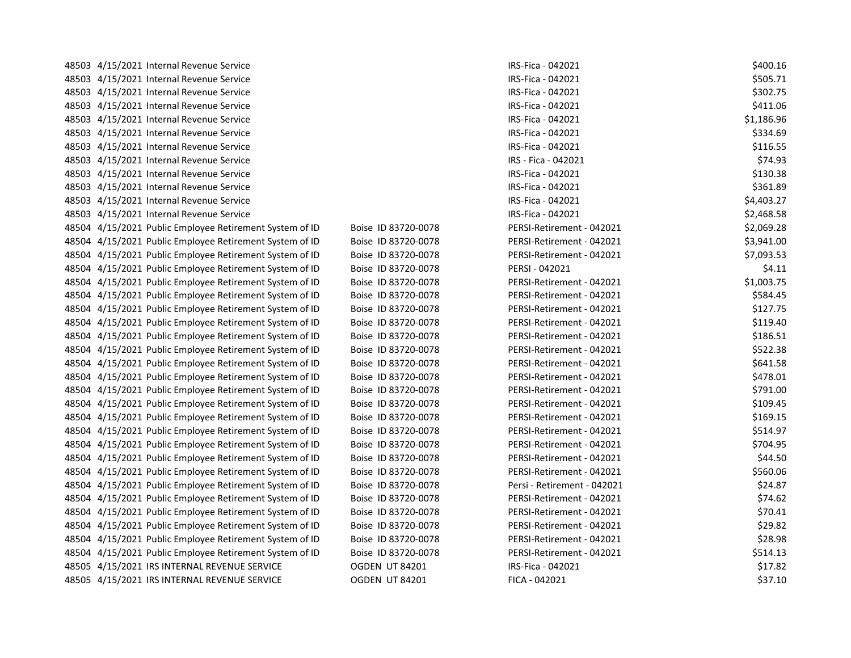| 48503 4/15/2021 Internal Revenue Service                |                       | IRS-Fica - 042021           | \$400.16   |
|---------------------------------------------------------|-----------------------|-----------------------------|------------|
| 48503 4/15/2021 Internal Revenue Service                |                       | IRS-Fica - 042021           | \$505.71   |
| 48503 4/15/2021 Internal Revenue Service                |                       | IRS-Fica - 042021           | \$302.75   |
| 48503 4/15/2021 Internal Revenue Service                |                       | IRS-Fica - 042021           | \$411.06   |
| 48503 4/15/2021 Internal Revenue Service                |                       | IRS-Fica - 042021           | \$1,186.96 |
| 48503 4/15/2021 Internal Revenue Service                |                       | IRS-Fica - 042021           | \$334.69   |
| 48503 4/15/2021 Internal Revenue Service                |                       | IRS-Fica - 042021           | \$116.55   |
| 48503 4/15/2021 Internal Revenue Service                |                       | IRS - Fica - 042021         | \$74.93    |
| 48503 4/15/2021 Internal Revenue Service                |                       | IRS-Fica - 042021           | \$130.38   |
| 48503 4/15/2021 Internal Revenue Service                |                       | IRS-Fica - 042021           | \$361.89   |
| 48503 4/15/2021 Internal Revenue Service                |                       | IRS-Fica - 042021           | \$4,403.27 |
| 48503 4/15/2021 Internal Revenue Service                |                       | IRS-Fica - 042021           | \$2,468.58 |
| 48504 4/15/2021 Public Employee Retirement System of ID | Boise ID 83720-0078   | PERSI-Retirement - 042021   | \$2,069.28 |
| 48504 4/15/2021 Public Employee Retirement System of ID | Boise ID 83720-0078   | PERSI-Retirement - 042021   | \$3,941.00 |
| 48504 4/15/2021 Public Employee Retirement System of ID | Boise ID 83720-0078   | PERSI-Retirement - 042021   | \$7,093.53 |
| 48504 4/15/2021 Public Employee Retirement System of ID | Boise ID 83720-0078   | PERSI - 042021              | \$4.11     |
| 48504 4/15/2021 Public Employee Retirement System of ID | Boise ID 83720-0078   | PERSI-Retirement - 042021   | \$1,003.75 |
| 48504 4/15/2021 Public Employee Retirement System of ID | Boise ID 83720-0078   | PERSI-Retirement - 042021   | \$584.45   |
| 48504 4/15/2021 Public Employee Retirement System of ID | Boise ID 83720-0078   | PERSI-Retirement - 042021   | \$127.75   |
| 48504 4/15/2021 Public Employee Retirement System of ID | Boise ID 83720-0078   | PERSI-Retirement - 042021   | \$119.40   |
| 48504 4/15/2021 Public Employee Retirement System of ID | Boise ID 83720-0078   | PERSI-Retirement - 042021   | \$186.51   |
| 48504 4/15/2021 Public Employee Retirement System of ID | Boise ID 83720-0078   | PERSI-Retirement - 042021   | \$522.38   |
| 48504 4/15/2021 Public Employee Retirement System of ID | Boise ID 83720-0078   | PERSI-Retirement - 042021   | \$641.58   |
| 48504 4/15/2021 Public Employee Retirement System of ID | Boise ID 83720-0078   | PERSI-Retirement - 042021   | \$478.01   |
| 48504 4/15/2021 Public Employee Retirement System of ID | Boise ID 83720-0078   | PERSI-Retirement - 042021   | \$791.00   |
| 48504 4/15/2021 Public Employee Retirement System of ID | Boise ID 83720-0078   | PERSI-Retirement - 042021   | \$109.45   |
| 48504 4/15/2021 Public Employee Retirement System of ID | Boise ID 83720-0078   | PERSI-Retirement - 042021   | \$169.15   |
| 48504 4/15/2021 Public Employee Retirement System of ID | Boise ID 83720-0078   | PERSI-Retirement - 042021   | \$514.97   |
| 48504 4/15/2021 Public Employee Retirement System of ID | Boise ID 83720-0078   | PERSI-Retirement - 042021   | \$704.95   |
| 48504 4/15/2021 Public Employee Retirement System of ID | Boise ID 83720-0078   | PERSI-Retirement - 042021   | \$44.50    |
| 48504 4/15/2021 Public Employee Retirement System of ID | Boise ID 83720-0078   | PERSI-Retirement - 042021   | \$560.06   |
| 48504 4/15/2021 Public Employee Retirement System of ID | Boise ID 83720-0078   | Persi - Retirement - 042021 | \$24.87    |
| 48504 4/15/2021 Public Employee Retirement System of ID | Boise ID 83720-0078   | PERSI-Retirement - 042021   | \$74.62    |
| 48504 4/15/2021 Public Employee Retirement System of ID | Boise ID 83720-0078   | PERSI-Retirement - 042021   | \$70.41    |
| 48504 4/15/2021 Public Employee Retirement System of ID | Boise ID 83720-0078   | PERSI-Retirement - 042021   | \$29.82    |
| 48504 4/15/2021 Public Employee Retirement System of ID | Boise ID 83720-0078   | PERSI-Retirement - 042021   | \$28.98    |
| 48504 4/15/2021 Public Employee Retirement System of ID | Boise ID 83720-0078   | PERSI-Retirement - 042021   | \$514.13   |
| 48505 4/15/2021 IRS INTERNAL REVENUE SERVICE            | <b>OGDEN UT 84201</b> | IRS-Fica - 042021           | \$17.82    |
| 48505 4/15/2021 IRS INTERNAL REVENUE SERVICE            | <b>OGDEN UT 84201</b> | FICA - 042021               | \$37.10    |